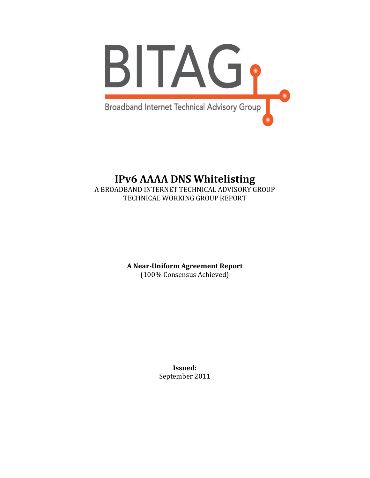

# **IPv6 AAAA DNS Whitelisting** A BROADBAND INTERNET TECHNICAL ADVISORY GROUP TECHNICAL WORKING GROUP REPORT

**A Near-Uniform Agreement Report** (100% Consensus Achieved)

> **Issued:** September 2011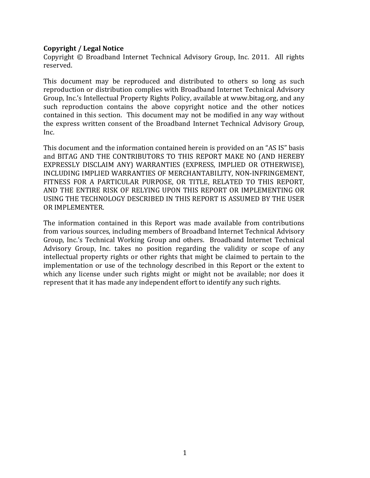#### **Copyright / Legal Notice**

Copyright © Broadband Internet Technical Advisory Group, Inc. 2011. All rights reserved.

This document may be reproduced and distributed to others so long as such reproduction or distribution complies with Broadband Internet Technical Advisory Group, Inc.'s Intellectual Property Rights Policy, available at www.bitag.org, and any such reproduction contains the above copyright notice and the other notices contained in this section. This document may not be modified in any way without the express written consent of the Broadband Internet Technical Advisory Group, Inc.

This document and the information contained herein is provided on an "AS IS" basis and BITAG AND THE CONTRIBUTORS TO THIS REPORT MAKE NO (AND HEREBY EXPRESSLY DISCLAIM ANY) WARRANTIES (EXPRESS, IMPLIED OR OTHERWISE), INCLUDING IMPLIED WARRANTIES OF MERCHANTABILITY, NON-INFRINGEMENT, FITNESS FOR A PARTICULAR PURPOSE, OR TITLE, RELATED TO THIS REPORT, AND THE ENTIRE RISK OF RELYING UPON THIS REPORT OR IMPLEMENTING OR USING THE TECHNOLOGY DESCRIBED IN THIS REPORT IS ASSUMED BY THE USER OR IMPLEMENTER.

The information contained in this Report was made available from contributions from various sources, including members of Broadband Internet Technical Advisory Group, Inc.'s Technical Working Group and others. Broadband Internet Technical Advisory Group, Inc. takes no position regarding the validity or scope of any intellectual property rights or other rights that might be claimed to pertain to the implementation or use of the technology described in this Report or the extent to which any license under such rights might or might not be available; nor does it represent that it has made any independent effort to identify any such rights.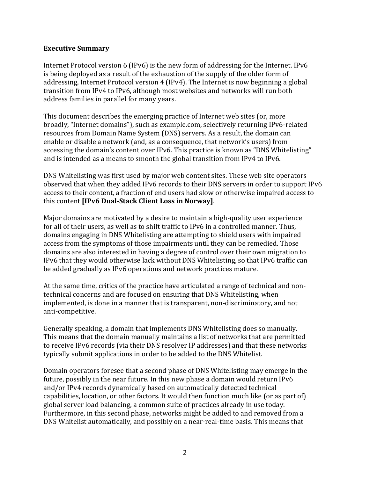#### **Executive Summary**

Internet Protocol version 6 (IPv6) is the new form of addressing for the Internet. IPv6 is being deployed as a result of the exhaustion of the supply of the older form of addressing, Internet Protocol version 4 (IPv4). The Internet is now beginning a global transition from IPv4 to IPv6, although most websites and networks will run both address families in parallel for many years.

This document describes the emerging practice of Internet web sites (or, more broadly, "Internet domains"), such as example.com, selectively returning IPv6-related resources from Domain Name System (DNS) servers. As a result, the domain can enable or disable a network (and, as a consequence, that network's users) from accessing the domain's content over IPv6. This practice is known as "DNS Whitelisting" and is intended as a means to smooth the global transition from IPv4 to IPv6.

DNS Whitelisting was first used by major web content sites. These web site operators observed that when they added IPv6 records to their DNS servers in order to support IPv6 access to their content, a fraction of end users had slow or otherwise impaired access to this content **[IPv6 Dual-Stack Client Loss in Norway]**.

Major domains are motivated by a desire to maintain a high-quality user experience for all of their users, as well as to shift traffic to IPv6 in a controlled manner. Thus, domains engaging in DNS Whitelisting are attempting to shield users with impaired access from the symptoms of those impairments until they can be remedied. Those domains are also interested in having a degree of control over their own migration to IPv6 that they would otherwise lack without DNS Whitelisting, so that IPv6 traffic can be added gradually as IPv6 operations and network practices mature.

At the same time, critics of the practice have articulated a range of technical and nontechnical concerns and are focused on ensuring that DNS Whitelisting, when implemented, is done in a manner that is transparent, non-discriminatory, and not anti-competitive.

Generally speaking, a domain that implements DNS Whitelisting does so manually. This means that the domain manually maintains a list of networks that are permitted to receive IPv6 records (via their DNS resolver IP addresses) and that these networks typically submit applications in order to be added to the DNS Whitelist.

Domain operators foresee that a second phase of DNS Whitelisting may emerge in the future, possibly in the near future. In this new phase a domain would return IPv6 and/or IPv4 records dynamically based on automatically detected technical capabilities, location, or other factors. It would then function much like (or as part of) global server load balancing, a common suite of practices already in use today. Furthermore, in this second phase, networks might be added to and removed from a DNS Whitelist automatically, and possibly on a near-real-time basis. This means that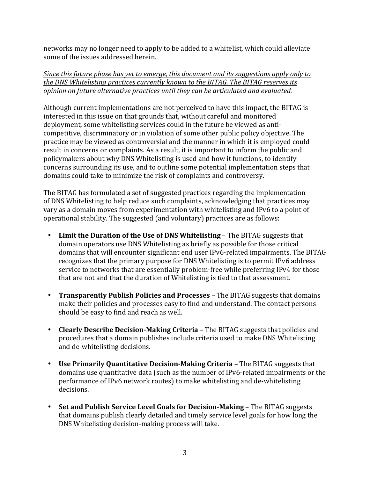networks may no longer need to apply to be added to a whitelist, which could alleviate some of the issues addressed herein.

*Since this future phase has yet to emerge, this document and its suggestions apply only to the DNS Whitelisting practices currently known to the BITAG. The BITAG reserves its* opinion on future alternative practices until they can be articulated and evaluated.

Although current implementations are not perceived to have this impact, the BITAG is interested in this issue on that grounds that, without careful and monitored deployment, some whitelisting services could in the future be viewed as anticompetitive, discriminatory or in violation of some other public policy objective. The practice may be viewed as controversial and the manner in which it is employed could result in concerns or complaints. As a result, it is important to inform the public and policymakers about why DNS Whitelisting is used and how it functions, to identify concerns surrounding its use, and to outline some potential implementation steps that domains could take to minimize the risk of complaints and controversy.

The BITAG has formulated a set of suggested practices regarding the implementation of DNS Whitelisting to help reduce such complaints, acknowledging that practices may vary as a domain moves from experimentation with whitelisting and IPv6 to a point of operational stability. The suggested (and voluntary) practices are as follows:

- Limit the Duration of the Use of DNS Whitelisting The BITAG suggests that domain operators use DNS Whitelisting as briefly as possible for those critical domains that will encounter significant end user IPv6-related impairments. The BITAG recognizes that the primary purpose for DNS Whitelisting is to permit IPv6 address service to networks that are essentially problem-free while preferring IPv4 for those that are not and that the duration of Whitelisting is tied to that assessment.
- **Transparently Publish Policies and Processes** The BITAG suggests that domains make their policies and processes easy to find and understand. The contact persons should be easy to find and reach as well.
- **Clearly Describe Decision-Making Criteria –** The BITAG suggests that policies and procedures that a domain publishes include criteria used to make DNS Whitelisting and de-whitelisting decisions.
- **Use Primarily Quantitative Decision-Making Criteria –** The BITAG suggests that domains use quantitative data (such as the number of IPv6-related impairments or the performance of IPv6 network routes) to make whitelisting and de-whitelisting decisions.
- Set and Publish Service Level Goals for Decision-Making The BITAG suggests that domains publish clearly detailed and timely service level goals for how long the DNS Whitelisting decision-making process will take.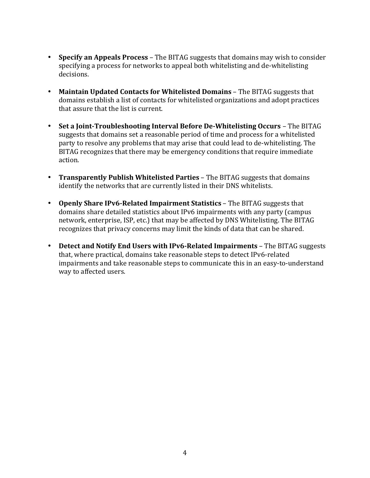- **Specify an Appeals Process** The BITAG suggests that domains may wish to consider specifying a process for networks to appeal both whitelisting and de-whitelisting decisions.
- Maintain Updated Contacts for Whitelisted Domains The BITAG suggests that domains establish a list of contacts for whitelisted organizations and adopt practices that assure that the list is current.
- Set a Joint-Troubleshooting Interval Before De-Whitelisting Occurs The BITAG suggests that domains set a reasonable period of time and process for a whitelisted party to resolve any problems that may arise that could lead to de-whitelisting. The BITAG recognizes that there may be emergency conditions that require immediate action.
- **Transparently Publish Whitelisted Parties** The BITAG suggests that domains identify the networks that are currently listed in their DNS whitelists.
- **Openly Share IPv6-Related Impairment Statistics** The BITAG suggests that domains share detailed statistics about IPv6 impairments with any party (campus network, enterprise, ISP, etc.) that may be affected by DNS Whitelisting. The BITAG recognizes that privacy concerns may limit the kinds of data that can be shared.
- **Detect and Notify End Users with IPv6-Related Impairments** The BITAG suggests that, where practical, domains take reasonable steps to detect IPv6-related impairments and take reasonable steps to communicate this in an easy-to-understand way to affected users.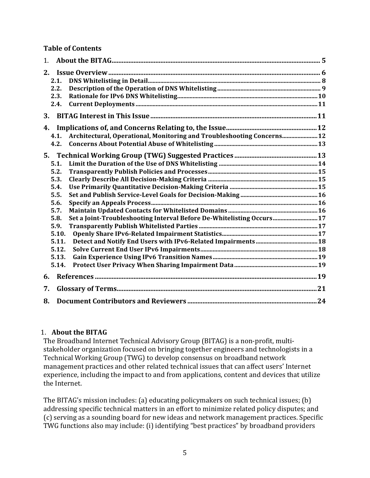#### **Table of Contents**

| 1.                                                                             |  |
|--------------------------------------------------------------------------------|--|
| 2.                                                                             |  |
| 2.1.                                                                           |  |
| 2.2.                                                                           |  |
| 2.3.                                                                           |  |
| 2.4.                                                                           |  |
| 3.                                                                             |  |
| 4.                                                                             |  |
| Architectural, Operational, Monitoring and Troubleshooting Concerns 12<br>4.1. |  |
| 4.2.                                                                           |  |
| 5.                                                                             |  |
| 5.1.                                                                           |  |
| 5.2.                                                                           |  |
| 5.3.                                                                           |  |
| 5.4.                                                                           |  |
| 5.5.                                                                           |  |
| 5.6.                                                                           |  |
| 5.7.                                                                           |  |
| Set a Joint-Troubleshooting Interval Before De-Whitelisting Occurs 17<br>5.8.  |  |
| 5.9.                                                                           |  |
| 5.10.                                                                          |  |
| 5.11.                                                                          |  |
| 5.12.                                                                          |  |
| 5.13.                                                                          |  |
| 5.14.                                                                          |  |
| 6.                                                                             |  |
| 7.                                                                             |  |
| 8.                                                                             |  |

#### 1. **About the BITAG**

The Broadband Internet Technical Advisory Group (BITAG) is a non-profit, multistakeholder organization focused on bringing together engineers and technologists in a Technical Working Group (TWG) to develop consensus on broadband network management practices and other related technical issues that can affect users' Internet experience, including the impact to and from applications, content and devices that utilize the Internet.

The BITAG's mission includes: (a) educating policymakers on such technical issues; (b) addressing specific technical matters in an effort to minimize related policy disputes; and (c) serving as a sounding board for new ideas and network management practices. Specific TWG functions also may include: (i) identifying "best practices" by broadband providers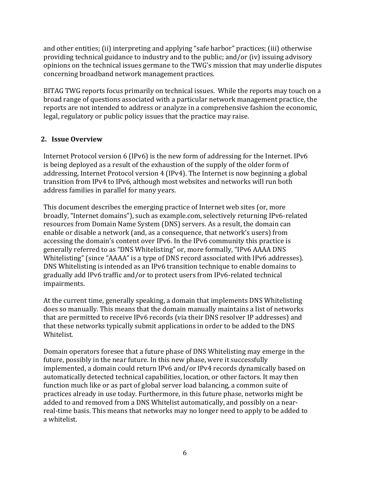and other entities; (ii) interpreting and applying "safe harbor" practices; (iii) otherwise providing technical guidance to industry and to the public; and/or (iv) issuing advisory opinions on the technical issues germane to the TWG's mission that may underlie disputes concerning broadband network management practices.

BITAG TWG reports focus primarily on technical issues. While the reports may touch on a broad range of questions associated with a particular network management practice, the reports are not intended to address or analyze in a comprehensive fashion the economic, legal, regulatory or public policy issues that the practice may raise.

### **2. Issue!Overview**

Internet Protocol version 6 (IPv6) is the new form of addressing for the Internet. IPv6 is being deployed as a result of the exhaustion of the supply of the older form of addressing, Internet Protocol version 4 (IPv4). The Internet is now beginning a global transition from IPv4 to IPv6, although most websites and networks will run both address families in parallel for many years.

This document describes the emerging practice of Internet web sites (or, more broadly, "Internet domains"), such as example.com, selectively returning IPv6-related resources from Domain Name System (DNS) servers. As a result, the domain can enable or disable a network (and, as a consequence, that network's users) from accessing the domain's content over IPv6. In the IPv6 community this practice is generally referred to as "DNS Whitelisting" or, more formally, "IPv6 AAAA DNS" Whitelisting" (since "AAAA" is a type of DNS record associated with IPv6 addresses). DNS Whitelisting is intended as an IPv6 transition technique to enable domains to gradually add IPv6 traffic and/or to protect users from IPv6-related technical impairments.

At the current time, generally speaking, a domain that implements DNS Whitelisting does so manually. This means that the domain manually maintains a list of networks that are permitted to receive IPv6 records (via their DNS resolver IP addresses) and that these networks typically submit applications in order to be added to the DNS Whitelist.

Domain operators foresee that a future phase of DNS Whitelisting may emerge in the future, possibly in the near future. In this new phase, were it successfully implemented, a domain could return IPv6 and/or IPv4 records dynamically based on automatically detected technical capabilities, location, or other factors. It may then function much like or as part of global server load balancing, a common suite of practices already in use today. Furthermore, in this future phase, networks might be added to and removed from a DNS Whitelist automatically, and possibly on a nearreal-time basis. This means that networks may no longer need to apply to be added to a whitelist.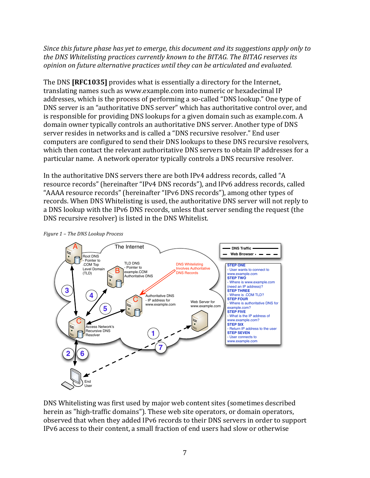*Since this future phase has yet to emerge, this document and its suggestions apply only to the DNS Whitelisting practices currently known to the BITAG. The BITAG reserves its opinion on future alternative practices until they can be articulated and evaluated.* 

The DNS **[RFC1035]** provides what is essentially a directory for the Internet, translating names such as www.example.com into numeric or hexadecimal IP addresses, which is the process of performing a so-called "DNS lookup." One type of DNS server is an "authoritative DNS server" which has authoritative control over, and is responsible for providing DNS lookups for a given domain such as example.com. A domain owner typically controls an authoritative DNS server. Another type of DNS server resides in networks and is called a "DNS recursive resolver." End user computers are configured to send their DNS lookups to these DNS recursive resolvers, which then contact the relevant authoritative DNS servers to obtain IP addresses for a particular name. A network operator typically controls a DNS recursive resolver.

In the authoritative DNS servers there are both IPv4 address records, called "A" resource records" (hereinafter "IPv4 DNS records"), and IPv6 address records, called "AAAA resource records" (hereinafter "IPv6 DNS records"), among other types of records. When DNS Whitelisting is used, the authoritative DNS server will not reply to a DNS lookup with the IPv6 DNS records, unless that server sending the request (the DNS recursive resolver) is listed in the DNS Whitelist.



*Figure 1 - The DNS Lookup Process* 

DNS Whitelisting was first used by major web content sites (sometimes described) herein as "high-traffic domains"). These web site operators, or domain operators, observed that when they added IPv6 records to their DNS servers in order to support IPv6 access to their content, a small fraction of end users had slow or otherwise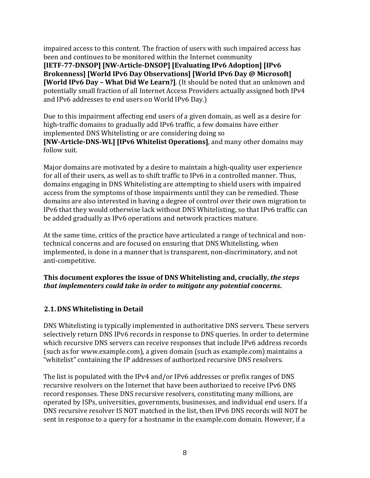impaired access to this content. The fraction of users with such impaired access has been and continues to be monitored within the Internet community **[IETF-77-DNSOP] [NW-Article-DNSOP] [Evaluating IPv6 Adoption] [IPv6 Brokenness]** [World IPv6 Day Observations] [World IPv6 Day @ Microsoft] **[World IPv6 Day - What Did We Learn?].** (It should be noted that an unknown and potentially small fraction of all Internet Access Providers actually assigned both IPv4 and IPv6 addresses to end users on World IPv6 Day.)

Due to this impairment affecting end users of a given domain, as well as a desire for high-traffic domains to gradually add IPv6 traffic, a few domains have either implemented DNS Whitelisting or are considering doing so **[NW-Article-DNS-WL] [IPv6 Whitelist Operations]**, and many other domains may follow suit.

Major domains are motivated by a desire to maintain a high-quality user experience for all of their users, as well as to shift traffic to IPv6 in a controlled manner. Thus, domains engaging in DNS Whitelisting are attempting to shield users with impaired access from the symptoms of those impairments until they can be remedied. Those domains are also interested in having a degree of control over their own migration to IPv6 that they would otherwise lack without DNS Whitelisting, so that IPv6 traffic can be added gradually as IPv6 operations and network practices mature.

At the same time, critics of the practice have articulated a range of technical and nontechnical concerns and are focused on ensuring that DNS Whitelisting, when implemented, is done in a manner that is transparent, non-discriminatory, and not anti-competitive.

### **This document explores the issue of DNS Whitelisting and, crucially,** *the steps that implementers could take in order to mitigate any potential concerns.*

## **2.1. DNS Whitelisting in Detail**

DNS Whitelisting is typically implemented in authoritative DNS servers. These servers selectively return DNS IPv6 records in response to DNS queries. In order to determine which recursive DNS servers can receive responses that include IPv6 address records (such as for www.example.com), a given domain (such as example.com) maintains a "whitelist" containing the IP addresses of authorized recursive DNS resolvers.

The list is populated with the IPv4 and/or IPv6 addresses or prefix ranges of DNS recursive resolvers on the Internet that have been authorized to receive IPv6 DNS record responses. These DNS recursive resolvers, constituting many millions, are operated by ISPs, universities, governments, businesses, and individual end users. If a DNS recursive resolver IS NOT matched in the list, then IPv6 DNS records will NOT be sent in response to a query for a hostname in the example.com domain. However, if a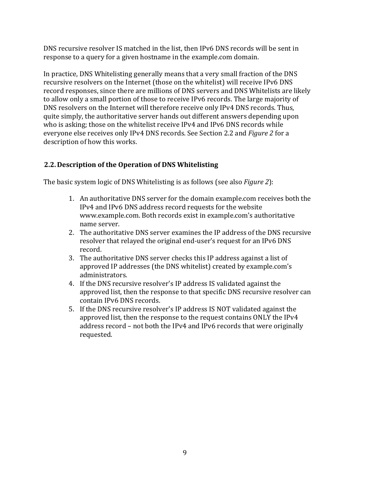DNS recursive resolver IS matched in the list, then IPv6 DNS records will be sent in response to a query for a given hostname in the example.com domain.

In practice, DNS Whitelisting generally means that a very small fraction of the DNS recursive resolvers on the Internet (those on the whitelist) will receive IPv6 DNS record responses, since there are millions of DNS servers and DNS Whitelists are likely to allow only a small portion of those to receive IPv6 records. The large majority of DNS resolvers on the Internet will therefore receive only IPv4 DNS records. Thus, quite simply, the authoritative server hands out different answers depending upon who is asking; those on the whitelist receive IPv4 and IPv6 DNS records while everyone else receives only IPv4 DNS records. See Section 2.2 and *Figure 2* for a description of how this works.

## **2.2. Description of the Operation of DNS Whitelisting**

The basic system logic of DNS Whitelisting is as follows (see also *Figure 2*):

- 1. An authoritative DNS server for the domain example.com receives both the IPv4 and IPv6 DNS address record requests for the website www.example.com. Both records exist in example.com's authoritative name server.
- 2. The authoritative DNS server examines the IP address of the DNS recursive resolver that relayed the original end-user's request for an IPv6 DNS record.
- 3. The authoritative DNS server checks this IP address against a list of approved IP addresses (the DNS whitelist) created by example.com's administrators.
- 4. If the DNS recursive resolver's IP address IS validated against the approved list, then the response to that specific DNS recursive resolver can contain IPv6 DNS records.
- 5. If the DNS recursive resolver's IP address IS NOT validated against the approved list, then the response to the request contains ONLY the IPv4 address record – not both the IPv4 and IPv6 records that were originally requested.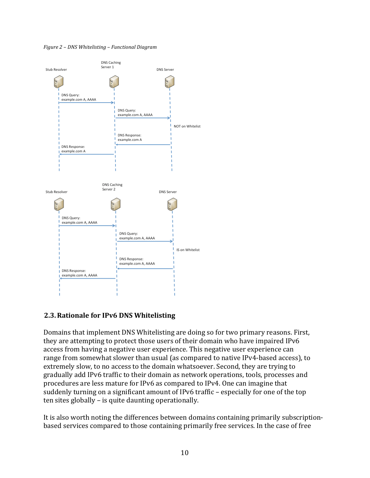



### **2.3. Rationale for IPv6 DNS Whitelisting**

Domains that implement DNS Whitelisting are doing so for two primary reasons. First, they are attempting to protect those users of their domain who have impaired IPv6 access from having a negative user experience. This negative user experience can range from somewhat slower than usual (as compared to native IPv4-based access), to extremely slow, to no access to the domain whatsoever. Second, they are trying to gradually add IPv6 traffic to their domain as network operations, tools, processes and procedures are less mature for IPv6 as compared to IPv4. One can imagine that suddenly turning on a significant amount of IPv6 traffic – especially for one of the top ten sites globally – is quite daunting operationally.

It is also worth noting the differences between domains containing primarily subscriptionbased services compared to those containing primarily free services. In the case of free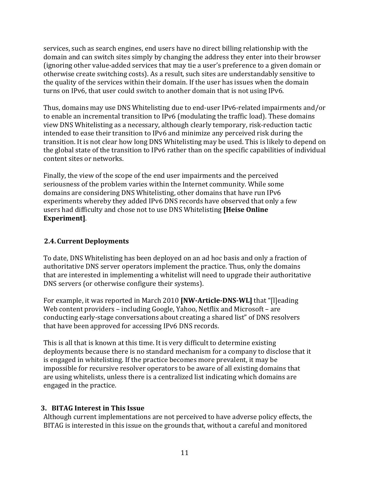services, such as search engines, end users have no direct billing relationship with the domain and can switch sites simply by changing the address they enter into their browser (ignoring other value-added services that may tie a user's preference to a given domain or otherwise create switching costs). As a result, such sites are understandably sensitive to the quality of the services within their domain. If the user has issues when the domain turns on IPv6, that user could switch to another domain that is not using IPv6.

Thus, domains may use DNS Whitelisting due to end-user IPv6-related impairments and/or to enable an incremental transition to IPv6 (modulating the traffic load). These domains view DNS Whitelisting as a necessary, although clearly temporary, risk-reduction tactic intended to ease their transition to IPv6 and minimize any perceived risk during the transition. It is not clear how long DNS Whitelisting may be used. This is likely to depend on the global state of the transition to IPv6 rather than on the specific capabilities of individual content sites or networks.

Finally, the view of the scope of the end user impairments and the perceived seriousness of the problem varies within the Internet community. While some domains are considering DNS Whitelisting, other domains that have run IPv6 experiments whereby they added IPv6 DNS records have observed that only a few users"had"difficulty and"chose"not"to use"DNS"Whitelisting **[Heise!Online! Experiment]**.

## **2.4. Current Deployments**

To date, DNS Whitelisting has been deployed on an ad hoc basis and only a fraction of authoritative DNS server operators implement the practice. Thus, only the domains that are interested in implementing a whitelist will need to upgrade their authoritative DNS servers (or otherwise configure their systems).

For example, it was reported in March 2010 **[NW-Article-DNS-WL]** that "[l]eading" Web content providers – including Google, Yahoo, Netflix and Microsoft – are conducting early-stage conversations about creating a shared list" of DNS resolvers that have been approved for accessing IPv6 DNS records.

This is all that is known at this time. It is very difficult to determine existing deployments because there is no standard mechanism for a company to disclose that it is engaged in whitelisting. If the practice becomes more prevalent, it may be impossible for recursive resolver operators to be aware of all existing domains that are using whitelists, unless there is a centralized list indicating which domains are engaged in the practice.

### **3. BITAG Interest in This Issue**

Although current implementations are not perceived to have adverse policy effects, the BITAG is interested in this issue on the grounds that, without a careful and monitored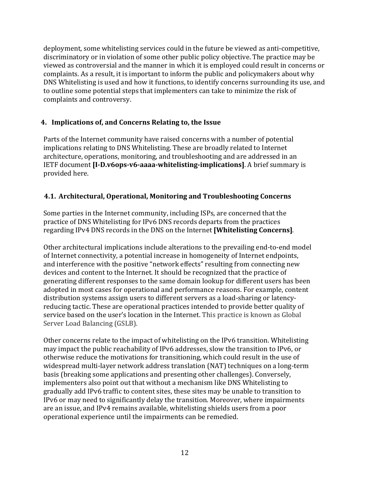deployment, some whitelisting services could in the future be viewed as anti-competitive, discriminatory or in violation of some other public policy objective. The practice may be viewed as controversial and the manner in which it is employed could result in concerns or complaints. As a result, it is important to inform the public and policymakers about why DNS Whitelisting is used and how it functions, to identify concerns surrounding its use, and to outline some potential steps that implementers can take to minimize the risk of complaints and controversy.

## **4. Implications of, and!Concerns!Relating!to, the!Issue**

Parts of the Internet community have raised concerns with a number of potential implications relating to DNS Whitelisting. These are broadly related to Internet architecture, operations, monitoring, and troubleshooting and are addressed in an **IETF** document **[I-D.v6ops-v6-aaaa-whitelisting-implications]**. A brief summary is provided here.

## **4.1. Architectural, Operational, Monitoring and Troubleshooting Concerns**

Some parties in the Internet community, including ISPs, are concerned that the practice of DNS Whitelisting for IPv6 DNS records departs from the practices regarding IPv4 DNS records in the DNS on the Internet **[Whitelisting Concerns]**.

Other architectural implications include alterations to the prevailing end-to-end model of Internet connectivity, a potential increase in homogeneity of Internet endpoints, and interference with the positive "network effects" resulting from connecting new devices and content to the Internet. It should be recognized that the practice of generating different responses to the same domain lookup for different users has been adopted in most cases for operational and performance reasons. For example, content distribution systems assign users to different servers as a load-sharing or latencyreducing tactic. These are operational practices intended to provide better quality of service based on the user's location in the Internet. This practice is known as Global Server Load Balancing (GSLB).

Other concerns relate to the impact of whitelisting on the IPv6 transition. Whitelisting may impact the public reachability of IPv6 addresses, slow the transition to IPv6, or otherwise reduce the motivations for transitioning, which could result in the use of widespread multi-layer network address translation (NAT) techniques on a long-term basis (breaking some applications and presenting other challenges). Conversely, implementers also point out that without a mechanism like DNS Whitelisting to gradually add IPv6 traffic to content sites, these sites may be unable to transition to IPv6 or may need to significantly delay the transition. Moreover, where impairments are an issue, and IPv4 remains available, whitelisting shields users from a poor operational experience until the impairments can be remedied.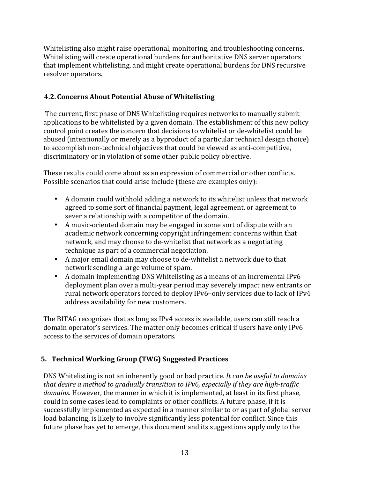Whitelisting also might raise operational, monitoring, and troubleshooting concerns. Whitelisting will create operational burdens for authoritative DNS server operators that implement whitelisting, and might create operational burdens for DNS recursive resolver operators.

### **4.2. Concerns About Potential Abuse of Whitelisting**

The current, first phase of DNS Whitelisting requires networks to manually submit applications to be whitelisted by a given domain. The establishment of this new policy control point creates the concern that decisions to whitelist or de-whitelist could be abused (intentionally or merely as a byproduct of a particular technical design choice) to accomplish non-technical objectives that could be viewed as anti-competitive, discriminatory or in violation of some other public policy objective.

These results could come about as an expression of commercial or other conflicts. Possible scenarios that could arise include (these are examples only):

- A domain could withhold adding a network to its whitelist unless that network agreed to some sort of financial payment, legal agreement, or agreement to sever a relationship with a competitor of the domain.
- A music-oriented domain may be engaged in some sort of dispute with an academic network concerning copyright infringement concerns within that network, and may choose to de-whitelist that network as a negotiating technique as part of a commercial negotiation.
- A major email domain may choose to de-whitelist a network due to that network sending a large volume of spam.
- A domain implementing DNS Whitelisting as a means of an incremental IPv6 deployment plan over a multi-year period may severely impact new entrants or rural network operators forced to deploy IPv6-only services due to lack of IPv4 address availability for new customers.

The BITAG recognizes that as long as IPv4 access is available, users can still reach a domain operator's services. The matter only becomes critical if users have only IPv6 access to the services of domain operators.

## **5. Technical Working Group (TWG) Suggested Practices**

DNS Whitelisting is not an inherently good or bad practice. *It can be useful to domains that desire a method to gradually transition to IPv6, especially if they are high-traffic domains.* However, the manner in which it is implemented, at least in its first phase, could in some cases lead to complaints or other conflicts. A future phase, if it is successfully implemented as expected in a manner similar to or as part of global server load balancing, is likely to involve significantly less potential for conflict. Since this future phase has yet to emerge, this document and its suggestions apply only to the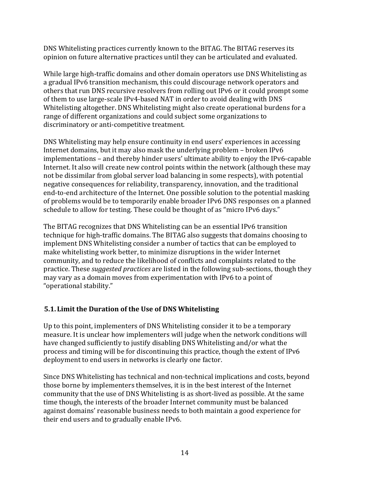DNS Whitelisting practices currently known to the BITAG. The BITAG reserves its opinion on future alternative practices until they can be articulated and evaluated.

While large high-traffic domains and other domain operators use DNS Whitelisting as a gradual IPv6 transition mechanism, this could discourage network operators and others that run DNS recursive resolvers from rolling out IPv6 or it could prompt some of them to use large-scale IPv4-based NAT in order to avoid dealing with DNS Whitelisting altogether. DNS Whitelisting might also create operational burdens for a range of different organizations and could subject some organizations to discriminatory or anti-competitive treatment.

DNS Whitelisting may help ensure continuity in end users' experiences in accessing Internet domains, but it may also mask the underlying problem – broken IPv6 implementations – and thereby hinder users' ultimate ability to enjoy the IPv6-capable Internet. It also will create new control points within the network (although these may not be dissimilar from global server load balancing in some respects), with potential negative consequences for reliability, transparency, innovation, and the traditional end-to-end architecture of the Internet. One possible solution to the potential masking of problems would be to temporarily enable broader IPv6 DNS responses on a planned schedule to allow for testing. These could be thought of as "micro IPv6 days."

The BITAG recognizes that DNS Whitelisting can be an essential IPv6 transition technique for high-traffic domains. The BITAG also suggests that domains choosing to implement DNS Whitelisting consider a number of tactics that can be employed to make whitelisting work better, to minimize disruptions in the wider Internet community, and to reduce the likelihood of conflicts and complaints related to the practice. These *suggested practices* are listed in the following sub-sections, though they may vary as a domain moves from experimentation with IPv6 to a point of "operational stability."

## **5.1. Limit the Duration of the Use of DNS Whitelisting**

Up to this point, implementers of DNS Whitelisting consider it to be a temporary measure. It is unclear how implementers will judge when the network conditions will have changed sufficiently to justify disabling DNS Whitelisting and/or what the process and timing will be for discontinuing this practice, though the extent of IPv6 deployment to end users in networks is clearly one factor.

Since DNS Whitelisting has technical and non-technical implications and costs, beyond those borne by implementers themselves, it is in the best interest of the Internet community that the use of DNS Whitelisting is as short-lived as possible. At the same time though, the interests of the broader Internet community must be balanced against domains' reasonable business needs to both maintain a good experience for their end users and to gradually enable IPv6.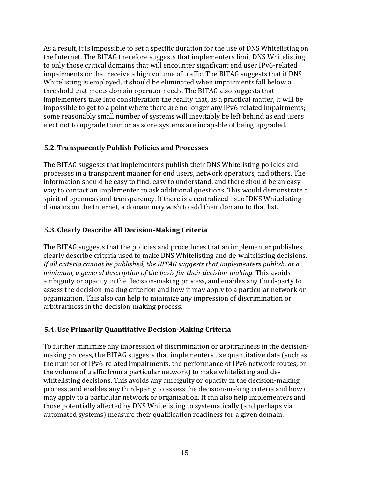As a result, it is impossible to set a specific duration for the use of DNS Whitelisting on the Internet. The BITAG therefore suggests that implementers limit DNS Whitelisting to only those critical domains that will encounter significant end user IPv6-related impairments or that receive a high volume of traffic. The BITAG suggests that if DNS Whitelisting is employed, it should be eliminated when impairments fall below a threshold that meets domain operator needs. The BITAG also suggests that implementers take into consideration the reality that, as a practical matter, it will be impossible to get to a point where there are no longer any IPv6-related impairments; some reasonably small number of systems will inevitably be left behind as end users elect not to upgrade them or as some systems are incapable of being upgraded.

### **5.2.Transparently!Publish!Policies!and!Processes**

The BITAG suggests that implementers publish their DNS Whitelisting policies and processes in a transparent manner for end users, network operators, and others. The information should be easy to find, easy to understand, and there should be an easy way to contact an implementer to ask additional questions. This would demonstrate a spirit of openness and transparency. If there is a centralized list of DNS Whitelisting domains on the Internet, a domain may wish to add their domain to that list.

### **5.3. Clearly Describe All Decision-Making Criteria**

The BITAG suggests that the policies and procedures that an implementer publishes" clearly describe criteria used to make DNS Whitelisting and de-whitelisting decisions. *If all criteria cannot be published, the BITAG suggests that implementers publish, at a minimum, a general description of the basis for their decision-making.* This avoids ambiguity or opacity in the decision-making process, and enables any third-party to assess the decision-making criterion and how it may apply to a particular network or organization. This also can help to minimize any impression of discrimination or arbitrariness in the decision-making process.

### **5.4.Use!Primarily!Quantitative!Decision5Making!Criteria**

To further minimize any impression of discrimination or arbitrariness in the decisionmaking process, the BITAG suggests that implementers use quantitative data (such as the number of IPv6-related impairments, the performance of IPv6 network routes, or the volume of traffic from a particular network) to make whitelisting and dewhitelisting decisions. This avoids any ambiguity or opacity in the decision-making process, and enables any third-party to assess the decision-making criteria and how it may apply to a particular network or organization. It can also help implementers and those potentially affected by DNS Whitelisting to systematically (and perhaps via automated systems) measure their qualification readiness for a given domain.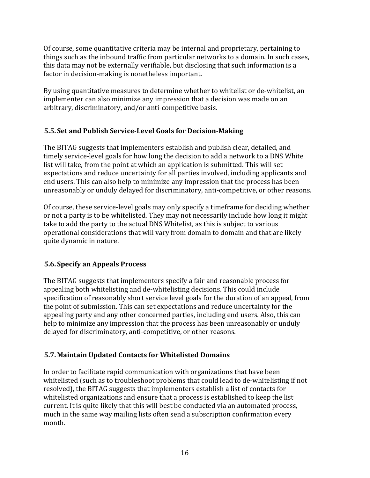Of course, some quantitative criteria may be internal and proprietary, pertaining to things such as the inbound traffic from particular networks to a domain. In such cases, this data may not be externally verifiable, but disclosing that such information is a factor in decision-making is nonetheless important.

By using quantitative measures to determine whether to whitelist or de-whitelist, an implementer can also minimize any impression that a decision was made on an arbitrary, discriminatory, and/or anti-competitive basis.

## **5.5. Set and Publish Service-Level Goals for Decision-Making**

The BITAG suggests that implementers establish and publish clear, detailed, and timely service-level goals for how long the decision to add a network to a DNS White list will take, from the point at which an application is submitted. This will set expectations and reduce uncertainty for all parties involved, including applicants and end users. This can also help to minimize any impression that the process has been unreasonably or unduly delayed for discriminatory, anti-competitive, or other reasons.

Of course, these service-level goals may only specify a timeframe for deciding whether or not a party is to be whitelisted. They may not necessarily include how long it might take to add the party to the actual DNS Whitelist, as this is subject to various operational considerations that will vary from domain to domain and that are likely quite dynamic in nature.

### **5.6. Specify!an!Appeals!Process**

The BITAG suggests that implementers specify a fair and reasonable process for appealing both whitelisting and de-whitelisting decisions. This could include specification of reasonably short service level goals for the duration of an appeal, from the point of submission. This can set expectations and reduce uncertainty for the appealing party and any other concerned parties, including end users. Also, this can help to minimize any impression that the process has been unreasonably or unduly delayed for discriminatory, anti-competitive, or other reasons.

## **5.7. Maintain!Updated!Contacts!for!Whitelisted!Domains**

In order to facilitate rapid communication with organizations that have been whitelisted (such as to troubleshoot problems that could lead to de-whitelisting if not resolved), the BITAG suggests that implementers establish a list of contacts for whitelisted organizations and ensure that a process is established to keep the list current. It is quite likely that this will best be conducted via an automated process, much in the same way mailing lists often send a subscription confirmation every month.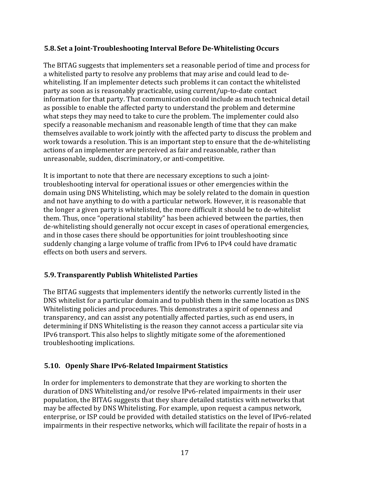### **5.8.** Set a Joint-Troubleshooting Interval Before De-Whitelisting Occurs

The BITAG suggests that implementers set a reasonable period of time and process for a whitelisted party to resolve any problems that may arise and could lead to dewhitelisting. If an implementer detects such problems it can contact the whitelisted party as soon as is reasonably practicable, using current/up-to-date contact information for that party. That communication could include as much technical detail as possible to enable the affected party to understand the problem and determine what steps they may need to take to cure the problem. The implementer could also specify a reasonable mechanism and reasonable length of time that they can make themselves available to work jointly with the affected party to discuss the problem and work towards a resolution. This is an important step to ensure that the de-whitelisting actions of an implementer are perceived as fair and reasonable, rather than unreasonable, sudden, discriminatory, or anti-competitive.

It is important to note that there are necessary exceptions to such a jointtroubleshooting interval for operational issues or other emergencies within the domain using DNS Whitelisting, which may be solely related to the domain in question and not have anything to do with a particular network. However, it is reasonable that the longer a given party is whitelisted, the more difficult it should be to de-whitelist them. Thus, once "operational stability" has been achieved between the parties, then de-whitelisting should generally not occur except in cases of operational emergencies, and in those cases there should be opportunities for joint troubleshooting since suddenly changing a large volume of traffic from IPv6 to IPv4 could have dramatic effects on both users and servers.

## **5.9.Transparently!Publish Whitelisted!Parties**

The BITAG suggests that implementers identify the networks currently listed in the DNS whitelist for a particular domain and to publish them in the same location as DNS Whitelisting policies and procedures. This demonstrates a spirit of openness and transparency, and can assist any potentially affected parties, such as end users, in determining if DNS Whitelisting is the reason they cannot access a particular site via IPv6 transport. This also helps to slightly mitigate some of the aforementioned troubleshooting implications.

### **5.10. Openly Share IPv6-Related Impairment Statistics**

In order for implementers to demonstrate that they are working to shorten the duration of DNS Whitelisting and/or resolve IPv6-related impairments in their user population, the BITAG suggests that they share detailed statistics with networks that may be affected by DNS Whitelisting. For example, upon request a campus network, enterprise, or ISP could be provided with detailed statistics on the level of IPv6-related impairments in their respective networks, which will facilitate the repair of hosts in a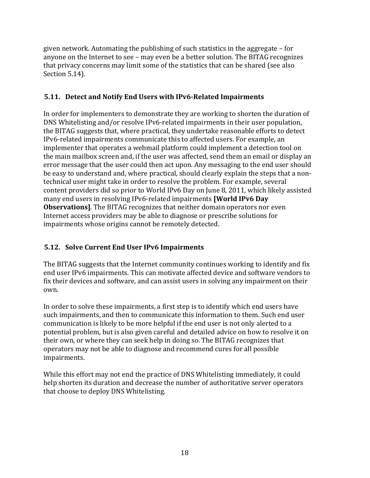given network. Automating the publishing of such statistics in the aggregate – for anyone on the Internet to see – may even be a better solution. The BITAG recognizes that privacy concerns may limit some of the statistics that can be shared (see also Section 5.14).

### **5.11. Detect and Notify End Users with IPv6-Related Impairments**

In order for implementers to demonstrate they are working to shorten the duration of DNS Whitelisting and/or resolve IPv6-related impairments in their user population, the BITAG suggests that, where practical, they undertake reasonable efforts to detect IPv6-related impairments communicate this to affected users. For example, an implementer that operates a webmail platform could implement a detection tool on the main mailbox screen and, if the user was affected, send them an email or display an error message that the user could then act upon. Any messaging to the end user should be easy to understand and, where practical, should clearly explain the steps that a nontechnical user might take in order to resolve the problem. For example, several content providers did so prior to World IPv6 Day on June 8, 2011, which likely assisted many end users in resolving IPv6-related impairments **[World IPv6 Day Observations]**. The BITAG recognizes that neither domain operators nor even Internet access providers may be able to diagnose or prescribe solutions for impairments whose origins cannot be remotely detected.

## **5.12. Solve Current!End!User!IPv6!Impairments**

The BITAG suggests that the Internet community continues working to identify and fix end user IPv6 impairments. This can motivate affected device and software vendors to fix their devices and software, and can assist users in solving any impairment on their own.

In order to solve these impairments, a first step is to identify which end users have such impairments, and then to communicate this information to them. Such end user communication is likely to be more helpful if the end user is not only alerted to a potential problem, but is also given careful and detailed advice on how to resolve it on their own, or where they can seek help in doing so. The BITAG recognizes that operators may not be able to diagnose and recommend cures for all possible impairments.

While this effort may not end the practice of DNS Whitelisting immediately, it could help shorten its duration and decrease the number of authoritative server operators that choose to deploy DNS Whitelisting.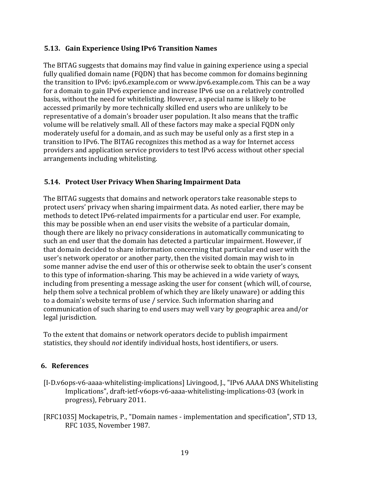#### **5.13. Gain Experience Using IPv6 Transition Names**

The BITAG suggests that domains may find value in gaining experience using a special fully qualified domain name (FQDN) that has become common for domains beginning the transition to IPv6: ipv6.example.com or www.ipv6.example.com. This can be a way for a domain to gain IPv6 experience and increase IPv6 use on a relatively controlled basis, without the need for whitelisting. However, a special name is likely to be accessed primarily by more technically skilled end users who are unlikely to be representative of a domain's broader user population. It also means that the traffic volume will be relatively small. All of these factors may make a special FQDN only moderately useful for a domain, and as such may be useful only as a first step in a transition to IPv6. The BITAG recognizes this method as a way for Internet access providers and application service providers to test IPv6 access without other special arrangements including whitelisting.

### **5.14. Protect User Privacy When Sharing Impairment Data**

The BITAG suggests that domains and network operators take reasonable steps to protect users' privacy when sharing impairment data. As noted earlier, there may be methods to detect IPv6-related impairments for a particular end user. For example, this may be possible when an end user visits the website of a particular domain, though there are likely no privacy considerations in automatically communicating to such an end user that the domain has detected a particular impairment. However, if that domain decided to share information concerning that particular end user with the user's network operator or another party, then the visited domain may wish to in some manner advise the end user of this or otherwise seek to obtain the user's consent to this type of information-sharing. This may be achieved in a wide variety of ways, including from presenting a message asking the user for consent (which will, of course, help them solve a technical problem of which they are likely unaware) or adding this to a domain's website terms of use / service. Such information sharing and communication of such sharing to end users may well vary by geographic area and/or legal jurisdiction.

To the extent that domains or network operators decide to publish impairment statistics, they should *not* identify individual hosts, host identifiers, or users.

#### **6. References**

- [I-D.v6ops-v6-aaaa-whitelisting-implications] Livingood, J., "IPv6 AAAA DNS Whitelisting Implications", draft-ietf-v6ops-v6-aaaa-whitelisting-implications-03 (work in progress), February 2011.
- [RFC1035] Mockapetris, P., "Domain names implementation and specification", STD 13, RFC 1035, November 1987.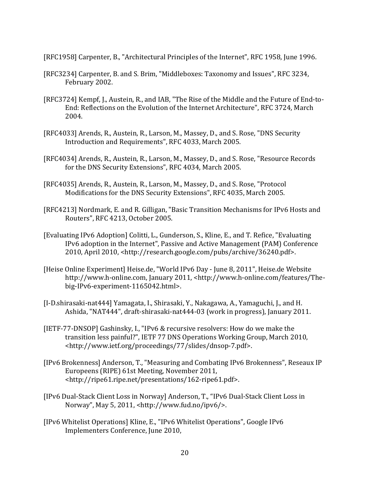[RFC1958] Carpenter, B., "Architectural Principles of the Internet", RFC 1958, June 1996.

- [RFC3234] Carpenter, B. and S. Brim, "Middleboxes: Taxonomy and Issues", RFC 3234, February 2002.
- [RFC3724] Kempf, J., Austein, R., and IAB, "The Rise of the Middle and the Future of End-to-End: Reflections on the Evolution of the Internet Architecture", RFC 3724, March 2004.
- [RFC4033] Arends, R., Austein, R., Larson, M., Massey, D., and S. Rose, "DNS Security Introduction and Requirements", RFC 4033, March 2005.
- [RFC4034] Arends, R., Austein, R., Larson, M., Massey, D., and S. Rose, "Resource Records" for the DNS Security Extensions", RFC 4034, March 2005.
- [RFC4035] Arends, R., Austein, R., Larson, M., Massey, D., and S. Rose, "Protocol" Modifications for the DNS Security Extensions", RFC 4035, March 2005.
- [RFC4213] Nordmark, E. and R. Gilligan, "Basic Transition Mechanisms for IPv6 Hosts and Routers", RFC 4213, October 2005.
- [Evaluating IPv6 Adoption] Colitti, L., Gunderson, S., Kline, E., and T. Refice, "Evaluating" IPv6 adoption in the Internet", Passive and Active Management (PAM) Conference 2010, April 2010, <http://research.google.com/pubs/archive/36240.pdf>.
- [Heise Online Experiment] Heise.de, "World IPv6 Day June 8, 2011", Heise.de Website http://www.h-online.com, January 2011, <http://www.h-online.com/features/Thebig-IPv6-experiment-1165042.html>.
- [I-D.shirasaki-nat444] Yamagata, I., Shirasaki, Y., Nakagawa, A., Yamaguchi, J., and H. Ashida, "NAT444", draft-shirasaki-nat444-03 (work in progress), January 2011.
- [IETF-77-DNSOP] Gashinsky, I., "IPv6 & recursive resolvers: How do we make the transition less painful?", IETF 77 DNS Operations Working Group, March 2010, <http://www.ietf.org/proceedings/77/slides/dnsop-7.pdf>.
- [IPv6 Brokenness] Anderson, T., "Measuring and Combating IPv6 Brokenness", Reseaux IP Europeens (RIPE) 61st Meeting, November 2011,  $\frac{\text{th}}{\text{t}}$  //ripe61.ripe.net/presentations/162-ripe61.pdf>.
- [IPv6 Dual-Stack Client Loss in Norway] Anderson, T., "IPv6 Dual-Stack Client Loss in Norway", May 5, 2011, <http://www.fud.no/ipv6/>.
- [IPv6 Whitelist Operations] Kline, E., "IPv6 Whitelist Operations", Google IPv6 Implementers Conference, June 2010,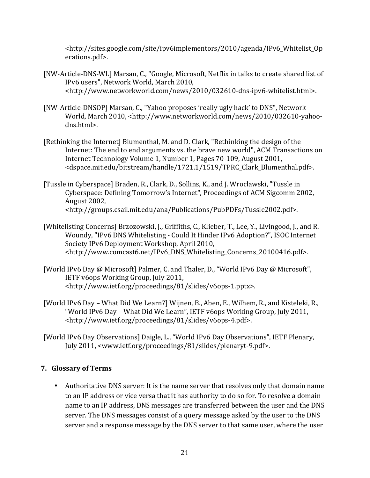<http://sites.google.com/site/ipv6implementors/2010/agenda/IPv6\_Whitelist\_Op erations.pdf>.

- [NW-Article-DNS-WL] Marsan, C., "Google, Microsoft, Netflix in talks to create shared list of IPv6 users", Network World, March 2010, <http://www.networkworld.com/news/2010/032610-dns-ipv6-whitelist.html>.
- [NW-Article-DNSOP] Marsan, C., "Yahoo proposes 'really ugly hack' to DNS", Network World, March 2010, <http://www.networkworld.com/news/2010/032610-vahoodns.html>.
- [Rethinking the Internet] Blumenthal, M. and D. Clark, "Rethinking the design of the" Internet: The end to end arguments vs. the brave new world", ACM Transactions on Internet Technology Volume 1, Number 1, Pages 70-109, August 2001, <dspace.mit.edu/bitstream/handle/1721.1/1519/TPRC\_Clark\_Blumenthal.pdf>.
- [Tussle in Cyberspace] Braden, R., Clark, D., Sollins, K., and J. Wroclawski, "Tussle in Cyberspace: Defining Tomorrow's Internet", Proceedings of ACM Sigcomm 2002, August 2002, <http://groups.csail.mit.edu/ana/Publications/PubPDFs/Tussle2002.pdf>.
- [Whitelisting Concerns] Brzozowski, J., Griffiths, C., Klieber, T., Lee, Y., Livingood, J., and R. Woundy, "IPv6 DNS Whitelisting - Could It Hinder IPv6 Adoption?", ISOC Internet Society IPv6 Deployment Workshop, April 2010, <http://www.comcast6.net/IPv6\_DNS\_Whitelisting\_Concerns\_20100416.pdf>.
- [World IPv6 Day @ Microsoft] Palmer, C. and Thaler, D., "World IPv6 Day @ Microsoft", IETF v6ops Working Group, July 2011, <http://www.ietf.org/proceedings/81/slides/v6ops-1.pptx>.
- [World IPv6 Day What Did We Learn?] Wijnen, B., Aben, E., Wilhem, R., and Kisteleki, R., "World IPv6 Day – What Did We Learn", IETF v6ops Working Group, July 2011, <http://www.ietf.org/proceedings/81/slides/v6ops-4.pdf>.
- [World IPv6 Day Observations] Daigle, L., "World IPv6 Day Observations", IETF Plenary, July 2011, <www.ietf.org/proceedings/81/slides/plenaryt-9.pdf>.

### **7. Glossary!of!Terms**

• Authoritative DNS server: It is the name server that resolves only that domain name to an IP address or vice versa that it has authority to do so for. To resolve a domain name to an IP address, DNS messages are transferred between the user and the DNS server. The DNS messages consist of a query message asked by the user to the DNS server and a response message by the DNS server to that same user, where the user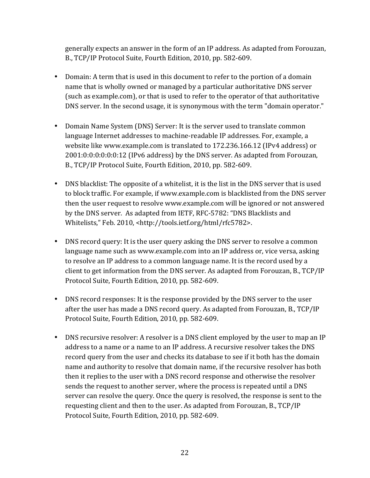generally expects an answer in the form of an IP address. As adapted from Forouzan, B., TCP/IP Protocol Suite, Fourth Edition, 2010, pp. 582-609.

- Domain: A term that is used in this document to refer to the portion of a domain name that is wholly owned or managed by a particular authoritative DNS server (such as example.com), or that is used to refer to the operator of that authoritative DNS server. In the second usage, it is synonymous with the term "domain operator."
- Domain Name System (DNS) Server: It is the server used to translate common language Internet addresses to machine-readable IP addresses. For, example, a website like www.example.com is translated to 172.236.166.12 (IPv4 address) or  $2001:0:0:0:0:0:12$  (IPv6 address) by the DNS server. As adapted from Forouzan, B., TCP/IP Protocol Suite, Fourth Edition, 2010, pp. 582-609.
- DNS blacklist: The opposite of a whitelist, it is the list in the DNS server that is used to block traffic. For example, if www.example.com is blacklisted from the DNS server then the user request to resolve www.example.com will be ignored or not answered by the DNS server. As adapted from IETF, RFC-5782: "DNS Blacklists and Whitelists," Feb. 2010, <http://tools.ietf.org/html/rfc5782>.
- DNS record query: It is the user query asking the DNS server to resolve a common language name such as www.example.com into an IP address or, vice versa, asking to resolve an IP address to a common language name. It is the record used by a client to get information from the DNS server. As adapted from Forouzan, B., TCP/IP Protocol Suite, Fourth Edition, 2010, pp. 582-609.
- DNS record responses: It is the response provided by the DNS server to the user after the user has made a DNS record query. As adapted from Forouzan, B., TCP/IP Protocol Suite, Fourth Edition, 2010, pp. 582-609.
- DNS recursive resolver: A resolver is a DNS client employed by the user to map an IP address to a name or a name to an IP address. A recursive resolver takes the DNS record query from the user and checks its database to see if it both has the domain name and authority to resolve that domain name, if the recursive resolver has both then it replies to the user with a DNS record response and otherwise the resolver sends the request to another server, where the process is repeated until a DNS server can resolve the query. Once the query is resolved, the response is sent to the requesting client and then to the user. As adapted from Forouzan, B., TCP/IP Protocol Suite, Fourth Edition, 2010, pp. 582-609.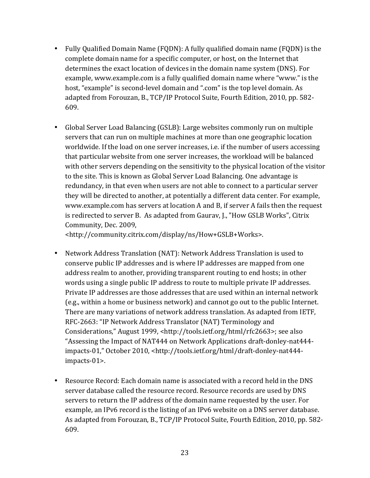- Fully Qualified Domain Name (FQDN): A fully qualified domain name (FQDN) is the complete domain name for a specific computer, or host, on the Internet that determines the exact location of devices in the domain name system (DNS). For example, www.example.com is a fully qualified domain name where "www." is the host, "example" is second-level domain and ".com" is the top level domain. As adapted from Forouzan, B., TCP/IP Protocol Suite, Fourth Edition, 2010, pp. 582-609.
- Global Server Load Balancing (GSLB): Large websites commonly run on multiple servers that can run on multiple machines at more than one geographic location worldwide. If the load on one server increases, i.e. if the number of users accessing that particular website from one server increases, the workload will be balanced with other servers depending on the sensitivity to the physical location of the visitor to the site. This is known as Global Server Load Balancing. One advantage is redundancy, in that even when users are not able to connect to a particular server they will be directed to another, at potentially a different data center. For example, www.example.com has servers at location A and B, if server A fails then the request is redirected to server B. As adapted from Gaurav, J., "How GSLB Works", Citrix Community, Dec. 2009,

<http://community.citrix.com/display/ns/How+GSLB+Works>."

- Network Address Translation (NAT): Network Address Translation is used to conserve public IP addresses and is where IP addresses are mapped from one address realm to another, providing transparent routing to end hosts; in other words using a single public IP address to route to multiple private IP addresses. Private IP addresses are those addresses that are used within an internal network (e.g., within a home or business network) and cannot go out to the public Internet. There are many variations of network address translation. As adapted from IETF, RFC-2663: "IP Network Address Translator (NAT) Terminology and Considerations," August 1999, <http://tools.ietf.org/html/rfc2663>; see also "Assessing the Impact of NAT444 on Network Applications draft-donley-nat444impacts-01," October 2010, <http://tools.ietf.org/html/draft-donley-nat444impacts-01>.
- Resource Record: Each domain name is associated with a record held in the DNS server database called the resource record. Resource records are used by DNS servers to return the IP address of the domain name requested by the user. For example, an IPv6 record is the listing of an IPv6 website on a DNS server database. As adapted from Forouzan, B., TCP/IP Protocol Suite, Fourth Edition, 2010, pp. 582-609.